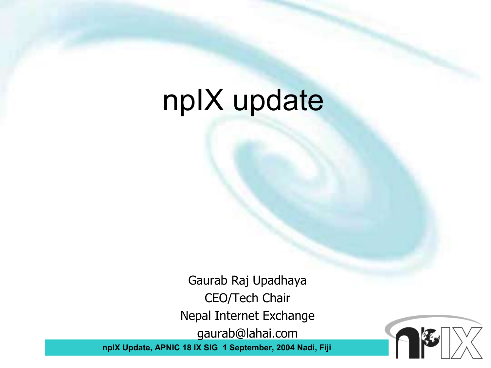## npIX update

**npIX Update, APNIC 18 IX SIG 1 September, 2004 Nadi, Fiji** Gaurab Raj Upadhaya CEO/Tech Chair Nepal Internet Exchange gaurab@lahai.com

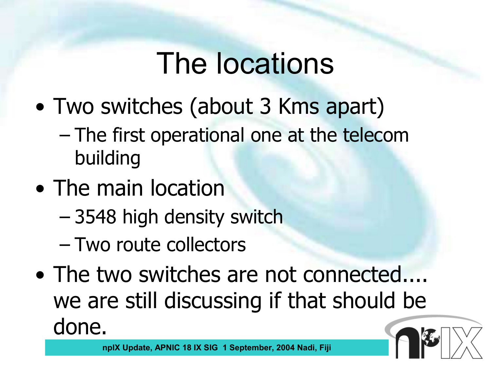## The locations

- Two switches (about 3 Kms apart)
	- The first operational one at the telecom building
- The main location
	- 3548 high density switch
	- Two route collectors
- The two switches are not connected.... we are still discussing if that should be done.

**npIX Update, APNIC 18 IX SIG 1 September, 2004 Nadi, Fiji**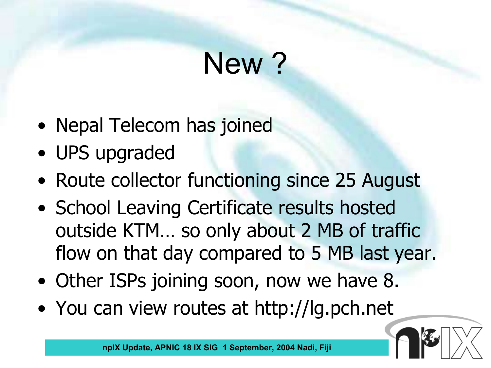# New ?

- Nepal Telecom has joined
- UPS upgraded
- Route collector functioning since 25 August
- School Leaving Certificate results hosted outside KTM… so only about 2 MB of traffic flow on that day compared to 5 MB last year.
- Other ISPs joining soon, now we have 8.
- You can view routes at http://lg.pch.net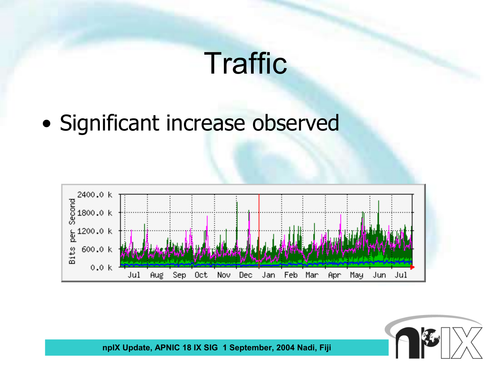## **Traffic**

• Significant increase observed



**npIX Update, APNIC 18 IX SIG 1 September, 2004 Nadi, Fiji**